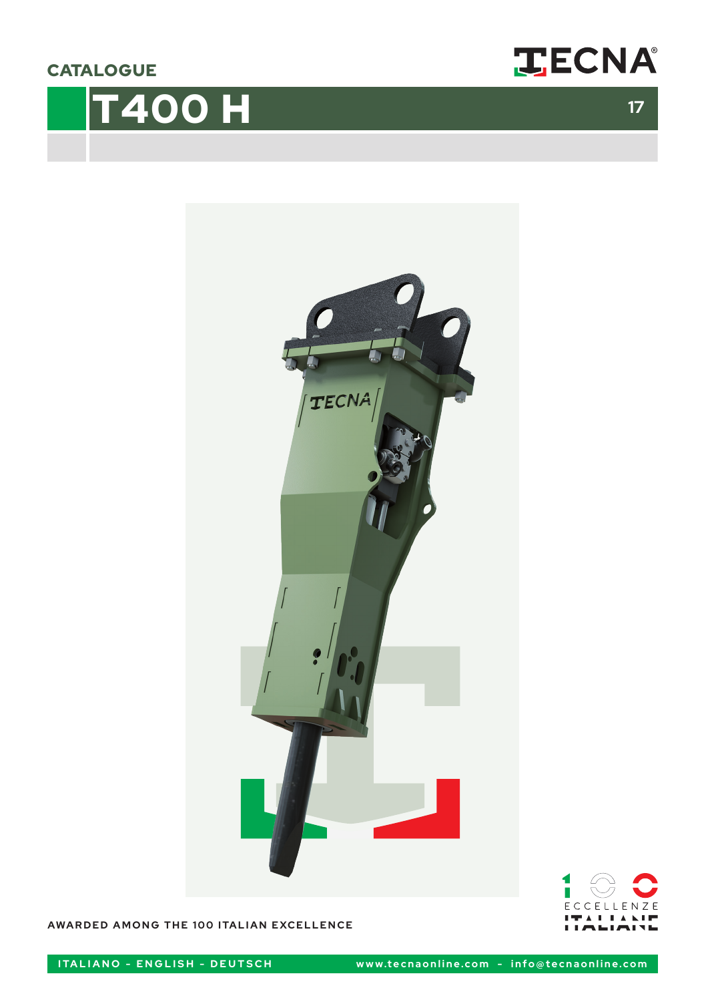**CATALOGUE** 

# **T400 H** 17







**AWARDED AMONG THE 100 ITALIAN EXCELLENCE**